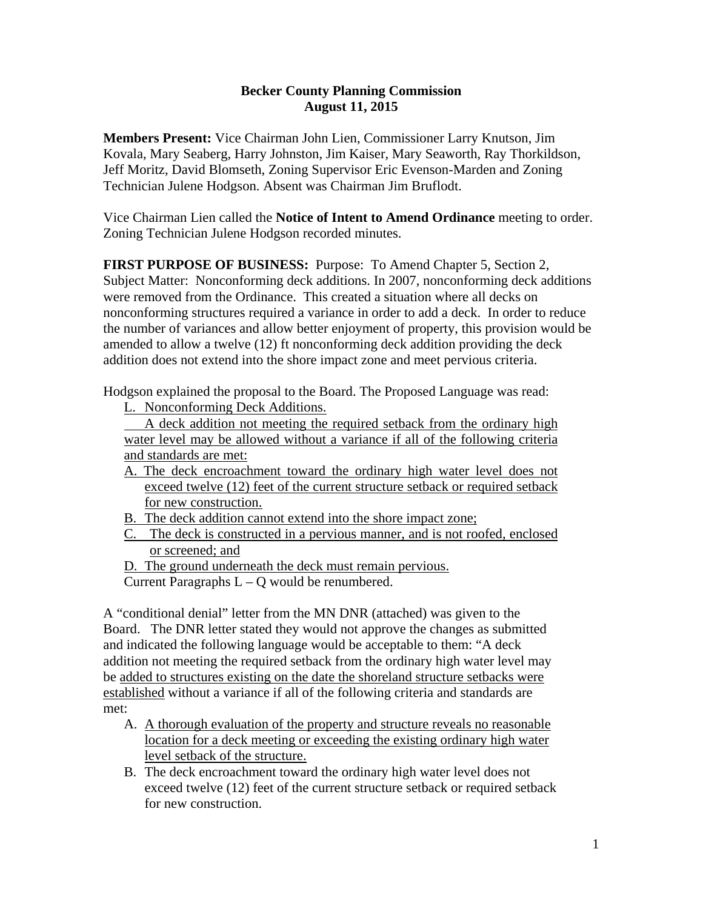## **Becker County Planning Commission August 11, 2015**

**Members Present:** Vice Chairman John Lien, Commissioner Larry Knutson, Jim Kovala, Mary Seaberg, Harry Johnston, Jim Kaiser, Mary Seaworth, Ray Thorkildson, Jeff Moritz, David Blomseth, Zoning Supervisor Eric Evenson-Marden and Zoning Technician Julene Hodgson. Absent was Chairman Jim Bruflodt.

Vice Chairman Lien called the **Notice of Intent to Amend Ordinance** meeting to order. Zoning Technician Julene Hodgson recorded minutes.

**FIRST PURPOSE OF BUSINESS:** Purpose: To Amend Chapter 5, Section 2, Subject Matter: Nonconforming deck additions. In 2007, nonconforming deck additions were removed from the Ordinance. This created a situation where all decks on nonconforming structures required a variance in order to add a deck. In order to reduce the number of variances and allow better enjoyment of property, this provision would be amended to allow a twelve (12) ft nonconforming deck addition providing the deck addition does not extend into the shore impact zone and meet pervious criteria.

Hodgson explained the proposal to the Board. The Proposed Language was read:

L. Nonconforming Deck Additions.

 A deck addition not meeting the required setback from the ordinary high water level may be allowed without a variance if all of the following criteria and standards are met:

- A. The deck encroachment toward the ordinary high water level does not exceed twelve (12) feet of the current structure setback or required setback for new construction.
- B. The deck addition cannot extend into the shore impact zone;
- C. The deck is constructed in a pervious manner, and is not roofed, enclosed or screened; and
- D. The ground underneath the deck must remain pervious.

Current Paragraphs  $L - Q$  would be renumbered.

A "conditional denial" letter from the MN DNR (attached) was given to the Board. The DNR letter stated they would not approve the changes as submitted and indicated the following language would be acceptable to them: "A deck addition not meeting the required setback from the ordinary high water level may be added to structures existing on the date the shoreland structure setbacks were established without a variance if all of the following criteria and standards are met:

- A. A thorough evaluation of the property and structure reveals no reasonable location for a deck meeting or exceeding the existing ordinary high water level setback of the structure.
- B. The deck encroachment toward the ordinary high water level does not exceed twelve (12) feet of the current structure setback or required setback for new construction.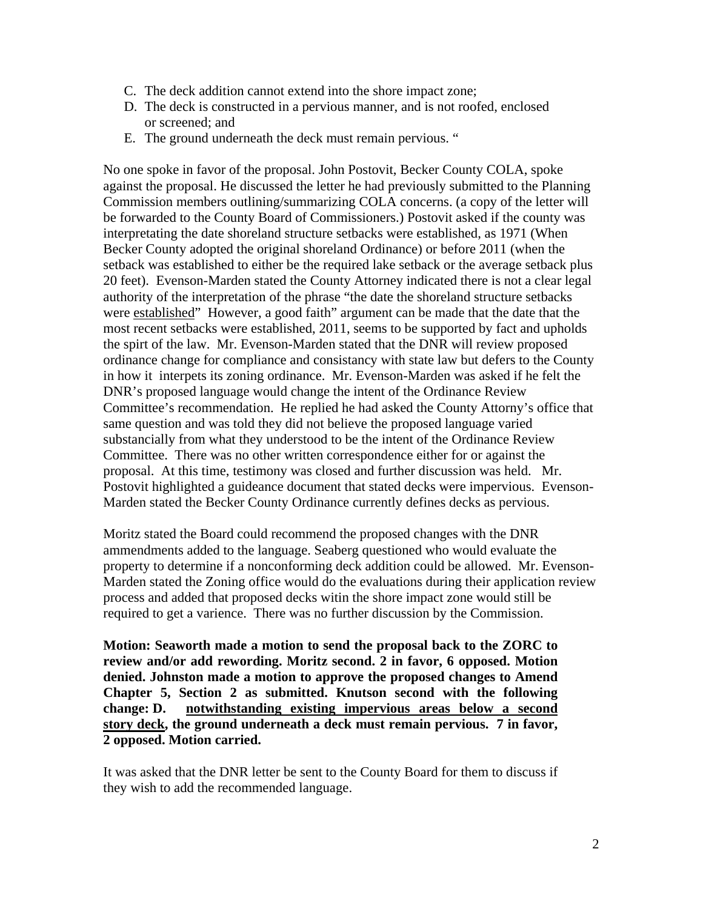- C. The deck addition cannot extend into the shore impact zone;
- D. The deck is constructed in a pervious manner, and is not roofed, enclosed or screened; and
- E. The ground underneath the deck must remain pervious. "

No one spoke in favor of the proposal. John Postovit, Becker County COLA, spoke against the proposal. He discussed the letter he had previously submitted to the Planning Commission members outlining/summarizing COLA concerns. (a copy of the letter will be forwarded to the County Board of Commissioners.) Postovit asked if the county was interpretating the date shoreland structure setbacks were established, as 1971 (When Becker County adopted the original shoreland Ordinance) or before 2011 (when the setback was established to either be the required lake setback or the average setback plus 20 feet). Evenson-Marden stated the County Attorney indicated there is not a clear legal authority of the interpretation of the phrase "the date the shoreland structure setbacks were established" However, a good faith" argument can be made that the date that the most recent setbacks were established, 2011, seems to be supported by fact and upholds the spirt of the law. Mr. Evenson-Marden stated that the DNR will review proposed ordinance change for compliance and consistancy with state law but defers to the County in how it interpets its zoning ordinance. Mr. Evenson-Marden was asked if he felt the DNR's proposed language would change the intent of the Ordinance Review Committee's recommendation. He replied he had asked the County Attorny's office that same question and was told they did not believe the proposed language varied substancially from what they understood to be the intent of the Ordinance Review Committee. There was no other written correspondence either for or against the proposal. At this time, testimony was closed and further discussion was held. Mr. Postovit highlighted a guideance document that stated decks were impervious. Evenson-Marden stated the Becker County Ordinance currently defines decks as pervious.

Moritz stated the Board could recommend the proposed changes with the DNR ammendments added to the language. Seaberg questioned who would evaluate the property to determine if a nonconforming deck addition could be allowed. Mr. Evenson-Marden stated the Zoning office would do the evaluations during their application review process and added that proposed decks witin the shore impact zone would still be required to get a varience. There was no further discussion by the Commission.

**Motion: Seaworth made a motion to send the proposal back to the ZORC to review and/or add rewording. Moritz second. 2 in favor, 6 opposed. Motion denied. Johnston made a motion to approve the proposed changes to Amend Chapter 5, Section 2 as submitted. Knutson second with the following change: D. notwithstanding existing impervious areas below a second story deck, the ground underneath a deck must remain pervious. 7 in favor, 2 opposed. Motion carried.** 

It was asked that the DNR letter be sent to the County Board for them to discuss if they wish to add the recommended language.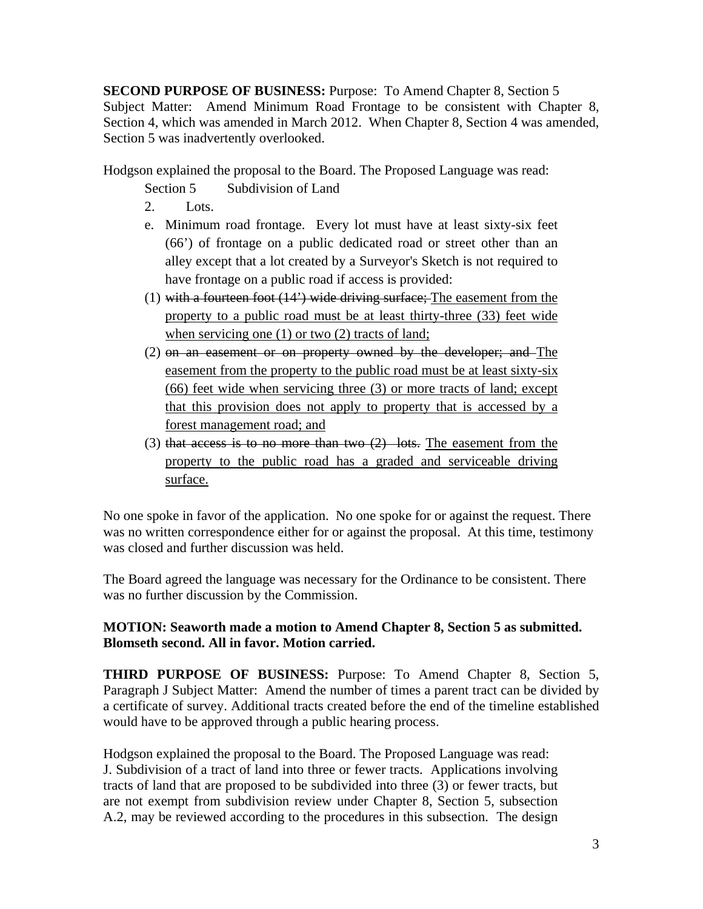**SECOND PURPOSE OF BUSINESS:** Purpose: To Amend Chapter 8, Section 5 Subject Matter: Amend Minimum Road Frontage to be consistent with Chapter 8, Section 4, which was amended in March 2012. When Chapter 8, Section 4 was amended, Section 5 was inadvertently overlooked.

Hodgson explained the proposal to the Board. The Proposed Language was read:

Section 5 Subdivision of Land

- 2. Lots.
- e. Minimum road frontage. Every lot must have at least sixty-six feet (66') of frontage on a public dedicated road or street other than an alley except that a lot created by a Surveyor's Sketch is not required to have frontage on a public road if access is provided:
- (1) with a fourteen foot  $(14^{\circ})$  wide driving surface; The easement from the property to a public road must be at least thirty-three (33) feet wide when servicing one (1) or two (2) tracts of land;
- (2) on an easement or on property owned by the developer; and The easement from the property to the public road must be at least sixty-six (66) feet wide when servicing three (3) or more tracts of land; except that this provision does not apply to property that is accessed by a forest management road; and
- (3) that access is to no more than two  $(2)$  lots. The easement from the property to the public road has a graded and serviceable driving surface.

No one spoke in favor of the application. No one spoke for or against the request. There was no written correspondence either for or against the proposal. At this time, testimony was closed and further discussion was held.

The Board agreed the language was necessary for the Ordinance to be consistent. There was no further discussion by the Commission.

## **MOTION: Seaworth made a motion to Amend Chapter 8, Section 5 as submitted. Blomseth second. All in favor. Motion carried.**

**THIRD PURPOSE OF BUSINESS:** Purpose: To Amend Chapter 8, Section 5, Paragraph J Subject Matter: Amend the number of times a parent tract can be divided by a certificate of survey. Additional tracts created before the end of the timeline established would have to be approved through a public hearing process.

Hodgson explained the proposal to the Board. The Proposed Language was read: J. Subdivision of a tract of land into three or fewer tracts. Applications involving tracts of land that are proposed to be subdivided into three (3) or fewer tracts, but are not exempt from subdivision review under Chapter 8, Section 5, subsection A.2, may be reviewed according to the procedures in this subsection. The design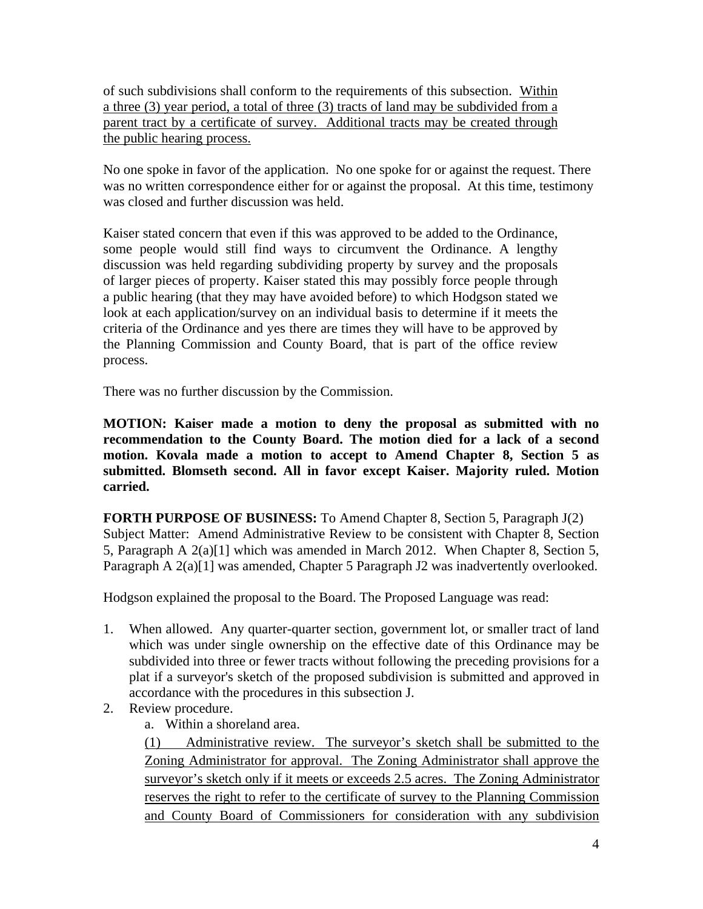of such subdivisions shall conform to the requirements of this subsection. Within a three (3) year period, a total of three (3) tracts of land may be subdivided from a parent tract by a certificate of survey. Additional tracts may be created through the public hearing process.

No one spoke in favor of the application. No one spoke for or against the request. There was no written correspondence either for or against the proposal. At this time, testimony was closed and further discussion was held.

Kaiser stated concern that even if this was approved to be added to the Ordinance, some people would still find ways to circumvent the Ordinance. A lengthy discussion was held regarding subdividing property by survey and the proposals of larger pieces of property. Kaiser stated this may possibly force people through a public hearing (that they may have avoided before) to which Hodgson stated we look at each application/survey on an individual basis to determine if it meets the criteria of the Ordinance and yes there are times they will have to be approved by the Planning Commission and County Board, that is part of the office review process.

There was no further discussion by the Commission.

**MOTION: Kaiser made a motion to deny the proposal as submitted with no recommendation to the County Board. The motion died for a lack of a second motion. Kovala made a motion to accept to Amend Chapter 8, Section 5 as submitted. Blomseth second. All in favor except Kaiser. Majority ruled. Motion carried.** 

**FORTH PURPOSE OF BUSINESS:** To Amend Chapter 8, Section 5, Paragraph J(2) Subject Matter: Amend Administrative Review to be consistent with Chapter 8, Section 5, Paragraph A 2(a)[1] which was amended in March 2012. When Chapter 8, Section 5, Paragraph A 2(a)[1] was amended, Chapter 5 Paragraph J2 was inadvertently overlooked.

Hodgson explained the proposal to the Board. The Proposed Language was read:

- 1. When allowed. Any quarter-quarter section, government lot, or smaller tract of land which was under single ownership on the effective date of this Ordinance may be subdivided into three or fewer tracts without following the preceding provisions for a plat if a surveyor's sketch of the proposed subdivision is submitted and approved in accordance with the procedures in this subsection J.
- 2. Review procedure.
	- a. Within a shoreland area.

(1) Administrative review. The surveyor's sketch shall be submitted to the Zoning Administrator for approval. The Zoning Administrator shall approve the surveyor's sketch only if it meets or exceeds 2.5 acres. The Zoning Administrator reserves the right to refer to the certificate of survey to the Planning Commission and County Board of Commissioners for consideration with any subdivision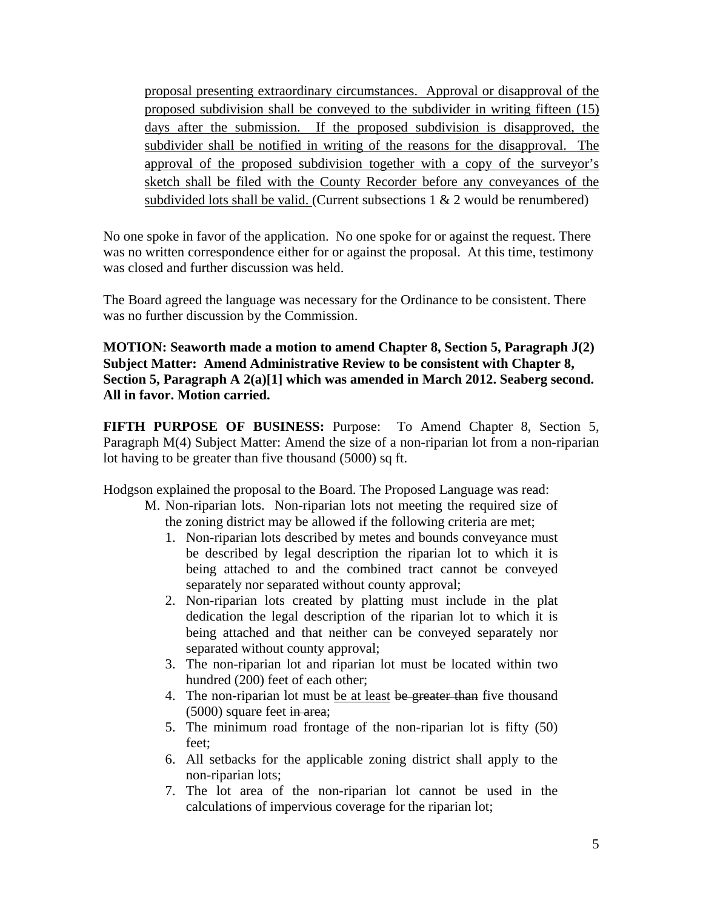proposal presenting extraordinary circumstances. Approval or disapproval of the proposed subdivision shall be conveyed to the subdivider in writing fifteen (15) days after the submission. If the proposed subdivision is disapproved, the subdivider shall be notified in writing of the reasons for the disapproval. The approval of the proposed subdivision together with a copy of the surveyor's sketch shall be filed with the County Recorder before any conveyances of the subdivided lots shall be valid. (Current subsections  $1 \& 2$  would be renumbered)

No one spoke in favor of the application. No one spoke for or against the request. There was no written correspondence either for or against the proposal. At this time, testimony was closed and further discussion was held.

The Board agreed the language was necessary for the Ordinance to be consistent. There was no further discussion by the Commission.

**MOTION: Seaworth made a motion to amend Chapter 8, Section 5, Paragraph J(2) Subject Matter: Amend Administrative Review to be consistent with Chapter 8, Section 5, Paragraph A 2(a)[1] which was amended in March 2012. Seaberg second. All in favor. Motion carried.**

**FIFTH PURPOSE OF BUSINESS:** Purpose: To Amend Chapter 8, Section 5, Paragraph M(4) Subject Matter: Amend the size of a non-riparian lot from a non-riparian lot having to be greater than five thousand (5000) sq ft.

Hodgson explained the proposal to the Board. The Proposed Language was read:

- M. Non-riparian lots. Non-riparian lots not meeting the required size of the zoning district may be allowed if the following criteria are met;
	- 1. Non-riparian lots described by metes and bounds conveyance must be described by legal description the riparian lot to which it is being attached to and the combined tract cannot be conveyed separately nor separated without county approval;
	- 2. Non-riparian lots created by platting must include in the plat dedication the legal description of the riparian lot to which it is being attached and that neither can be conveyed separately nor separated without county approval;
	- 3. The non-riparian lot and riparian lot must be located within two hundred (200) feet of each other;
	- 4. The non-riparian lot must be at least be greater than five thousand (5000) square feet in area;
	- 5. The minimum road frontage of the non-riparian lot is fifty (50) feet;
	- 6. All setbacks for the applicable zoning district shall apply to the non-riparian lots;
	- 7. The lot area of the non-riparian lot cannot be used in the calculations of impervious coverage for the riparian lot;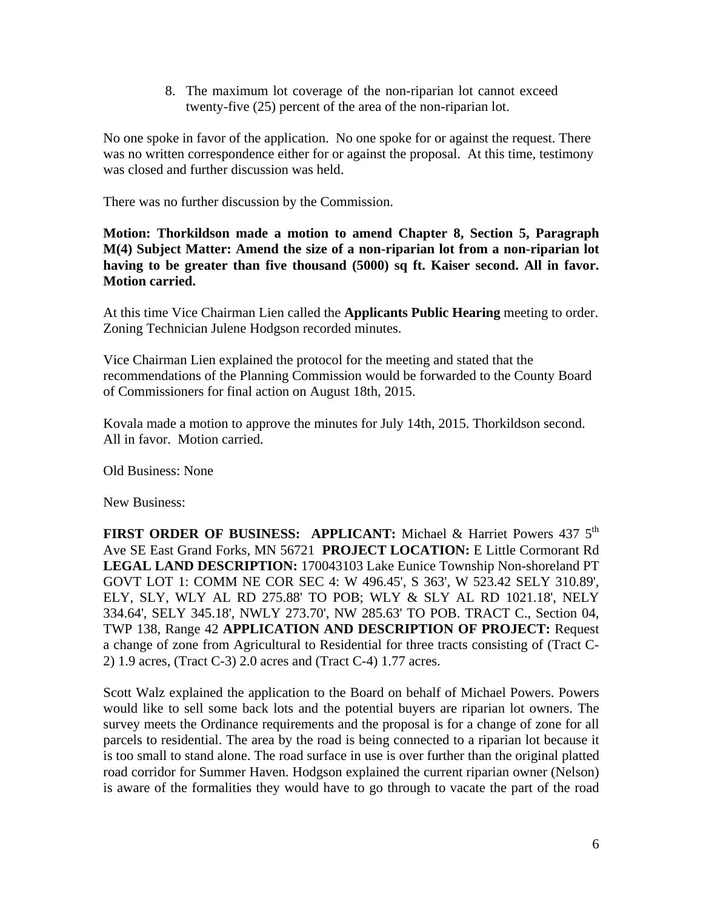8. The maximum lot coverage of the non-riparian lot cannot exceed twenty-five (25) percent of the area of the non-riparian lot.

No one spoke in favor of the application. No one spoke for or against the request. There was no written correspondence either for or against the proposal. At this time, testimony was closed and further discussion was held.

There was no further discussion by the Commission.

**Motion: Thorkildson made a motion to amend Chapter 8, Section 5, Paragraph M(4) Subject Matter: Amend the size of a non-riparian lot from a non-riparian lot having to be greater than five thousand (5000) sq ft. Kaiser second. All in favor. Motion carried.** 

At this time Vice Chairman Lien called the **Applicants Public Hearing** meeting to order. Zoning Technician Julene Hodgson recorded minutes.

Vice Chairman Lien explained the protocol for the meeting and stated that the recommendations of the Planning Commission would be forwarded to the County Board of Commissioners for final action on August 18th, 2015.

Kovala made a motion to approve the minutes for July 14th, 2015. Thorkildson second. All in favor. Motion carried.

Old Business: None

New Business:

**FIRST ORDER OF BUSINESS: APPLICANT:** Michael & Harriet Powers 437 5<sup>th</sup> Ave SE East Grand Forks, MN 56721 **PROJECT LOCATION:** E Little Cormorant Rd **LEGAL LAND DESCRIPTION:** 170043103 Lake Eunice Township Non-shoreland PT GOVT LOT 1: COMM NE COR SEC 4: W 496.45', S 363', W 523.42 SELY 310.89', ELY, SLY, WLY AL RD 275.88' TO POB; WLY & SLY AL RD 1021.18', NELY 334.64', SELY 345.18', NWLY 273.70', NW 285.63' TO POB. TRACT C., Section 04, TWP 138, Range 42 **APPLICATION AND DESCRIPTION OF PROJECT:** Request a change of zone from Agricultural to Residential for three tracts consisting of (Tract C-2) 1.9 acres, (Tract C-3) 2.0 acres and (Tract C-4) 1.77 acres.

Scott Walz explained the application to the Board on behalf of Michael Powers. Powers would like to sell some back lots and the potential buyers are riparian lot owners. The survey meets the Ordinance requirements and the proposal is for a change of zone for all parcels to residential. The area by the road is being connected to a riparian lot because it is too small to stand alone. The road surface in use is over further than the original platted road corridor for Summer Haven. Hodgson explained the current riparian owner (Nelson) is aware of the formalities they would have to go through to vacate the part of the road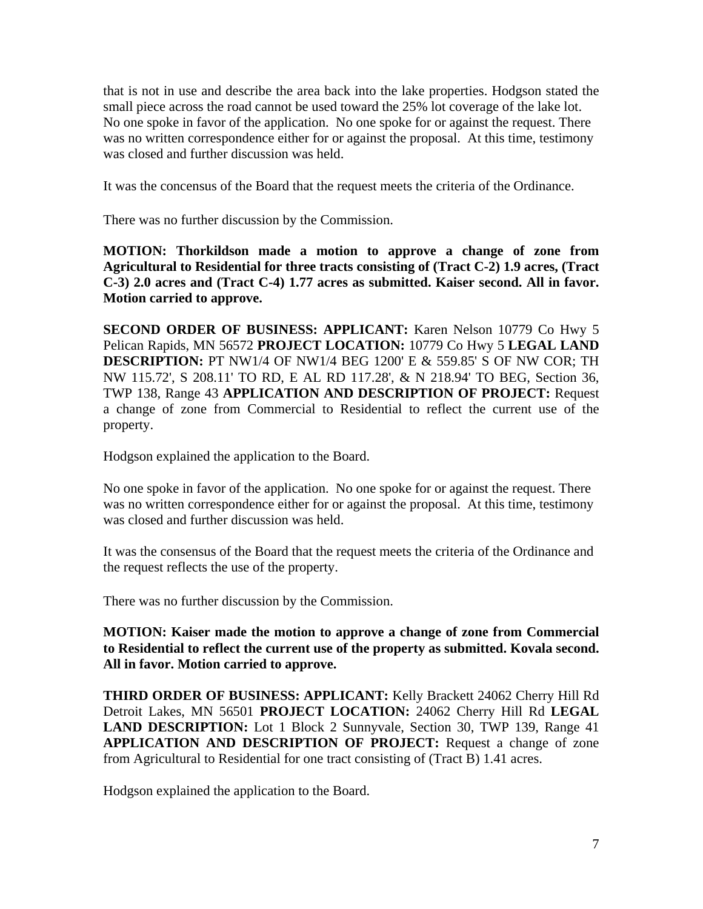that is not in use and describe the area back into the lake properties. Hodgson stated the small piece across the road cannot be used toward the 25% lot coverage of the lake lot. No one spoke in favor of the application. No one spoke for or against the request. There was no written correspondence either for or against the proposal. At this time, testimony was closed and further discussion was held.

It was the concensus of the Board that the request meets the criteria of the Ordinance.

There was no further discussion by the Commission.

**MOTION: Thorkildson made a motion to approve a change of zone from Agricultural to Residential for three tracts consisting of (Tract C-2) 1.9 acres, (Tract C-3) 2.0 acres and (Tract C-4) 1.77 acres as submitted. Kaiser second. All in favor. Motion carried to approve.** 

**SECOND ORDER OF BUSINESS: APPLICANT:** Karen Nelson 10779 Co Hwy 5 Pelican Rapids, MN 56572 **PROJECT LOCATION:** 10779 Co Hwy 5 **LEGAL LAND DESCRIPTION:** PT NW1/4 OF NW1/4 BEG 1200' E & 559.85' S OF NW COR; TH NW 115.72', S 208.11' TO RD, E AL RD 117.28', & N 218.94' TO BEG, Section 36, TWP 138, Range 43 **APPLICATION AND DESCRIPTION OF PROJECT:** Request a change of zone from Commercial to Residential to reflect the current use of the property.

Hodgson explained the application to the Board.

No one spoke in favor of the application. No one spoke for or against the request. There was no written correspondence either for or against the proposal. At this time, testimony was closed and further discussion was held.

It was the consensus of the Board that the request meets the criteria of the Ordinance and the request reflects the use of the property.

There was no further discussion by the Commission.

**MOTION: Kaiser made the motion to approve a change of zone from Commercial to Residential to reflect the current use of the property as submitted. Kovala second. All in favor. Motion carried to approve.** 

**THIRD ORDER OF BUSINESS: APPLICANT:** Kelly Brackett 24062 Cherry Hill Rd Detroit Lakes, MN 56501 **PROJECT LOCATION:** 24062 Cherry Hill Rd **LEGAL LAND DESCRIPTION:** Lot 1 Block 2 Sunnyvale, Section 30, TWP 139, Range 41 **APPLICATION AND DESCRIPTION OF PROJECT:** Request a change of zone from Agricultural to Residential for one tract consisting of (Tract B) 1.41 acres.

Hodgson explained the application to the Board.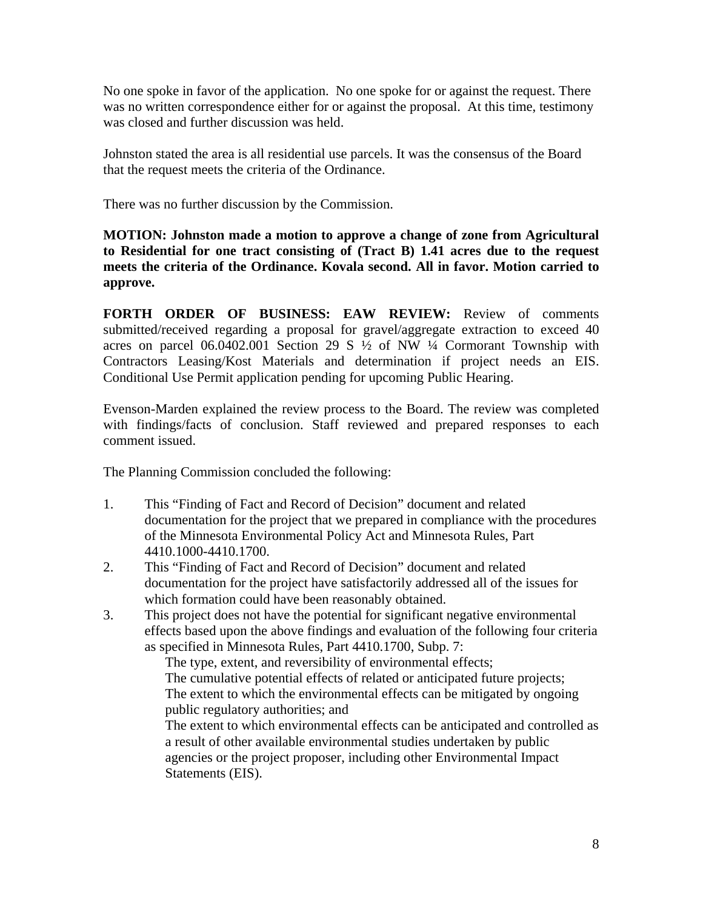No one spoke in favor of the application. No one spoke for or against the request. There was no written correspondence either for or against the proposal. At this time, testimony was closed and further discussion was held.

Johnston stated the area is all residential use parcels. It was the consensus of the Board that the request meets the criteria of the Ordinance.

There was no further discussion by the Commission.

**MOTION: Johnston made a motion to approve a change of zone from Agricultural to Residential for one tract consisting of (Tract B) 1.41 acres due to the request meets the criteria of the Ordinance. Kovala second. All in favor. Motion carried to approve.** 

**FORTH ORDER OF BUSINESS: EAW REVIEW:** Review of comments submitted/received regarding a proposal for gravel/aggregate extraction to exceed 40 acres on parcel  $06.0402.001$  Section 29 S  $\frac{1}{2}$  of NW  $\frac{1}{4}$  Cormorant Township with Contractors Leasing/Kost Materials and determination if project needs an EIS. Conditional Use Permit application pending for upcoming Public Hearing.

Evenson-Marden explained the review process to the Board. The review was completed with findings/facts of conclusion. Staff reviewed and prepared responses to each comment issued.

The Planning Commission concluded the following:

- 1. This "Finding of Fact and Record of Decision" document and related documentation for the project that we prepared in compliance with the procedures of the Minnesota Environmental Policy Act and Minnesota Rules, Part 4410.1000-4410.1700.
- 2. This "Finding of Fact and Record of Decision" document and related documentation for the project have satisfactorily addressed all of the issues for which formation could have been reasonably obtained.
- 3. This project does not have the potential for significant negative environmental effects based upon the above findings and evaluation of the following four criteria as specified in Minnesota Rules, Part 4410.1700, Subp. 7:

 The type, extent, and reversibility of environmental effects; The cumulative potential effects of related or anticipated future projects; The extent to which the environmental effects can be mitigated by ongoing public regulatory authorities; and

 The extent to which environmental effects can be anticipated and controlled as a result of other available environmental studies undertaken by public agencies or the project proposer, including other Environmental Impact Statements (EIS).